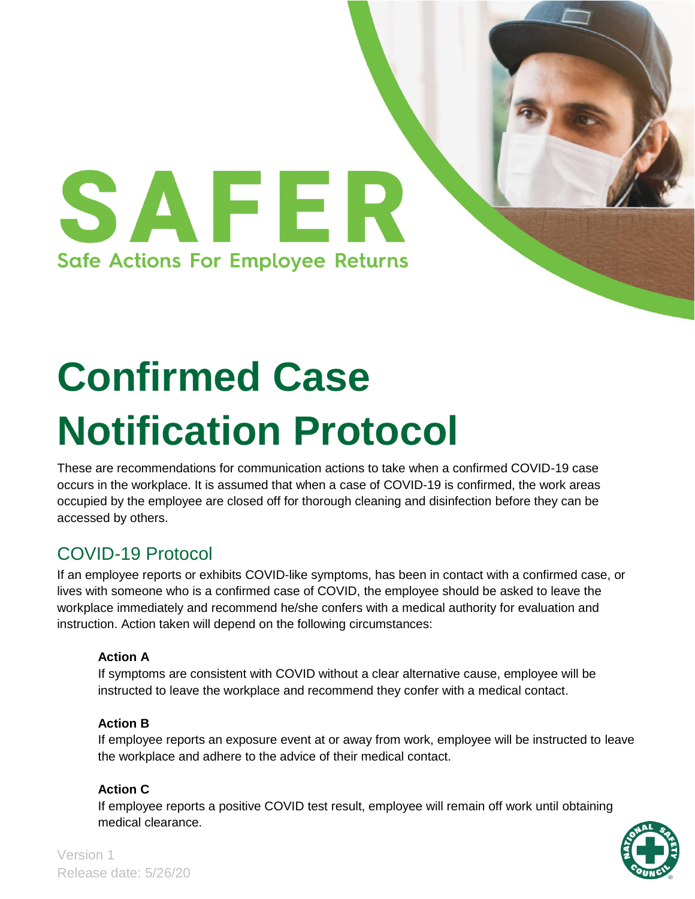

# **Confirmed Case Notification Protocol**

These are recommendations for communication actions to take when a confirmed COVID-19 case occurs in the workplace. It is assumed that when a case of COVID-19 is confirmed, the work areas occupied by the employee are closed off for thorough cleaning and disinfection before they can be accessed by others.

## COVID-19 Protocol

If an employee reports or exhibits COVID-like symptoms, has been in contact with a confirmed case, or lives with someone who is a confirmed case of COVID, the employee should be asked to leave the workplace immediately and recommend he/she confers with a medical authority for evaluation and instruction. Action taken will depend on the following circumstances:

## **Action A**

If symptoms are consistent with COVID without a clear alternative cause, employee will be instructed to leave the workplace and recommend they confer with a medical contact.

## **Action B**

If employee reports an exposure event at or away from work, employee will be instructed to leave the workplace and adhere to the advice of their medical contact.

## **Action C**

If employee reports a positive COVID test result, employee will remain off work until obtaining medical clearance.



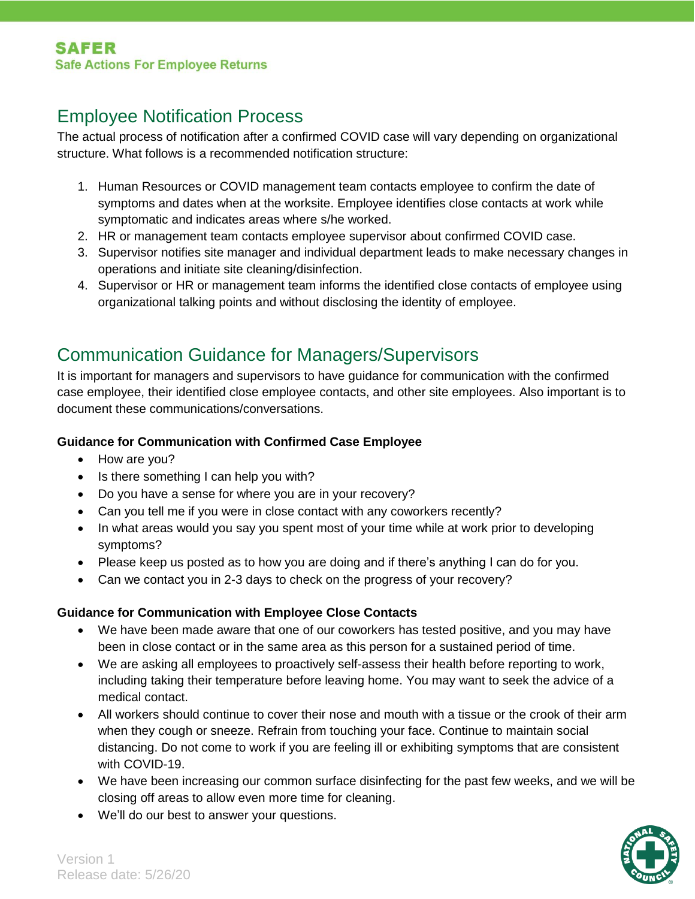## Employee Notification Process

The actual process of notification after a confirmed COVID case will vary depending on organizational structure. What follows is a recommended notification structure:

- 1. Human Resources or COVID management team contacts employee to confirm the date of symptoms and dates when at the worksite. Employee identifies close contacts at work while symptomatic and indicates areas where s/he worked.
- 2. HR or management team contacts employee supervisor about confirmed COVID case.
- 3. Supervisor notifies site manager and individual department leads to make necessary changes in operations and initiate site cleaning/disinfection.
- 4. Supervisor or HR or management team informs the identified close contacts of employee using organizational talking points and without disclosing the identity of employee.

## Communication Guidance for Managers/Supervisors

It is important for managers and supervisors to have guidance for communication with the confirmed case employee, their identified close employee contacts, and other site employees. Also important is to document these communications/conversations.

#### **Guidance for Communication with Confirmed Case Employee**

- How are you?
- Is there something I can help you with?
- Do you have a sense for where you are in your recovery?
- Can you tell me if you were in close contact with any coworkers recently?
- In what areas would you say you spent most of your time while at work prior to developing symptoms?
- Please keep us posted as to how you are doing and if there's anything I can do for you.
- Can we contact you in 2-3 days to check on the progress of your recovery?

## **Guidance for Communication with Employee Close Contacts**

- We have been made aware that one of our coworkers has tested positive, and you may have been in close contact or in the same area as this person for a sustained period of time.
- We are asking all employees to proactively self-assess their health before reporting to work, including taking their temperature before leaving home. You may want to seek the advice of a medical contact.
- All workers should continue to cover their nose and mouth with a tissue or the crook of their arm when they cough or sneeze. Refrain from touching your face. Continue to maintain social distancing. Do not come to work if you are feeling ill or exhibiting symptoms that are consistent with COVID-19.
- We have been increasing our common surface disinfecting for the past few weeks, and we will be closing off areas to allow even more time for cleaning.
- We'll do our best to answer your questions.